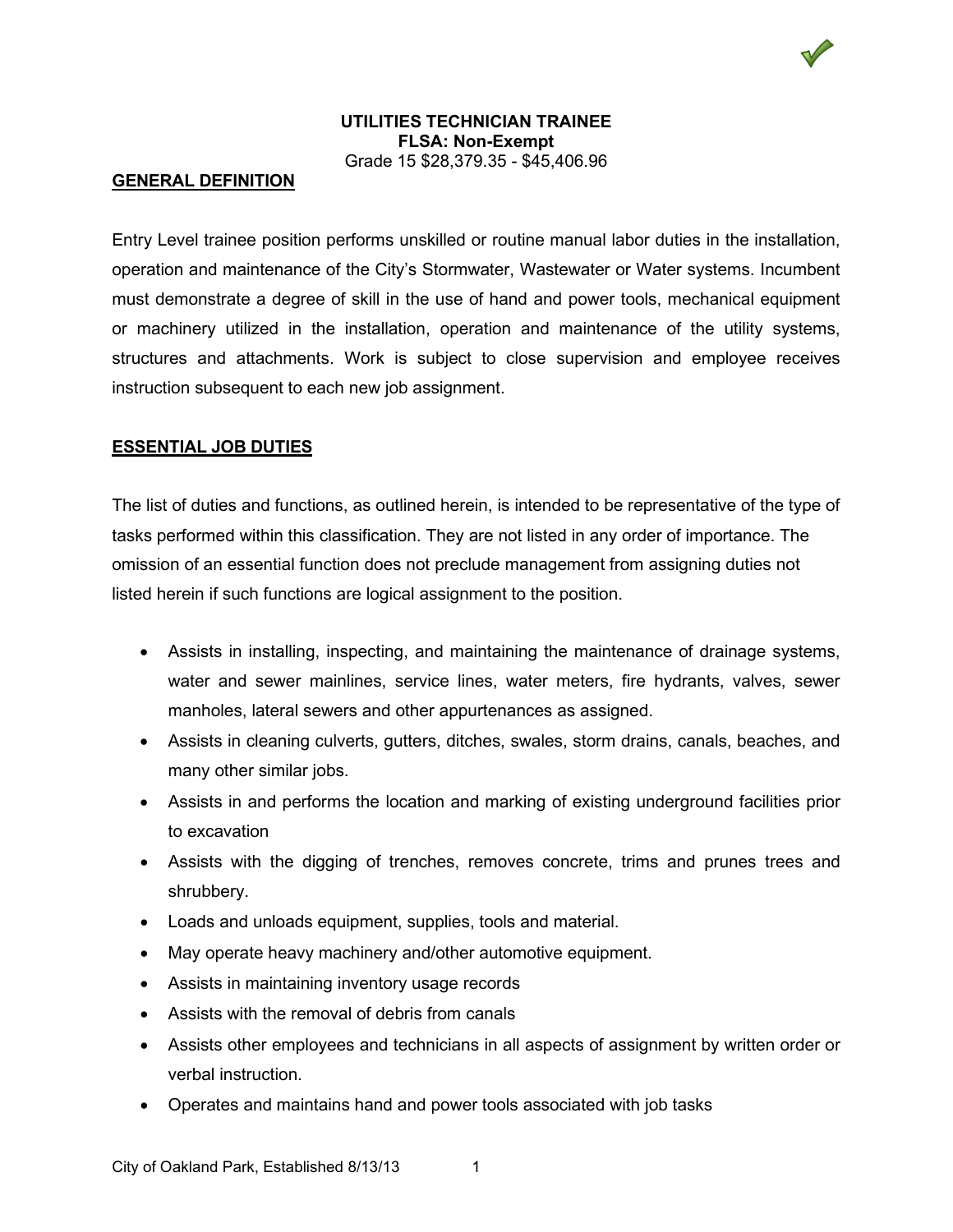## **UTILITIES TECHNICIAN TRAINEE FLSA: Non-Exempt** Grade 15 \$28,379.35 - \$45,406.96

### **GENERAL DEFINITION**

Entry Level trainee position performs unskilled or routine manual labor duties in the installation, operation and maintenance of the City's Stormwater, Wastewater or Water systems. Incumbent must demonstrate a degree of skill in the use of hand and power tools, mechanical equipment or machinery utilized in the installation, operation and maintenance of the utility systems, structures and attachments. Work is subject to close supervision and employee receives instruction subsequent to each new job assignment.

## **ESSENTIAL JOB DUTIES**

The list of duties and functions, as outlined herein, is intended to be representative of the type of tasks performed within this classification. They are not listed in any order of importance. The omission of an essential function does not preclude management from assigning duties not listed herein if such functions are logical assignment to the position.

- Assists in installing, inspecting, and maintaining the maintenance of drainage systems, water and sewer mainlines, service lines, water meters, fire hydrants, valves, sewer manholes, lateral sewers and other appurtenances as assigned.
- Assists in cleaning culverts, gutters, ditches, swales, storm drains, canals, beaches, and many other similar jobs.
- Assists in and performs the location and marking of existing underground facilities prior to excavation
- Assists with the digging of trenches, removes concrete, trims and prunes trees and shrubbery.
- Loads and unloads equipment, supplies, tools and material.
- May operate heavy machinery and/other automotive equipment.
- Assists in maintaining inventory usage records
- Assists with the removal of debris from canals
- Assists other employees and technicians in all aspects of assignment by written order or verbal instruction.
- Operates and maintains hand and power tools associated with job tasks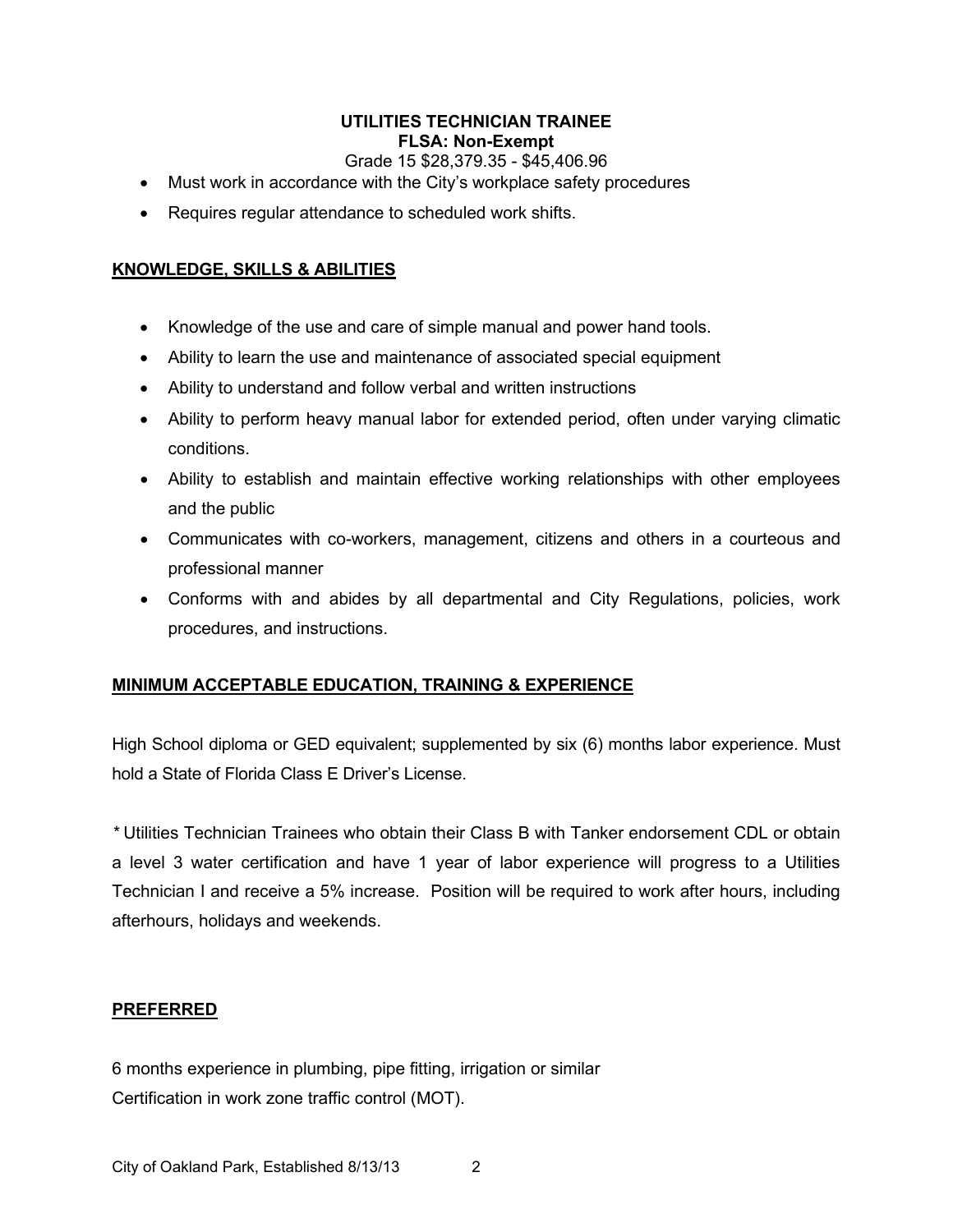# **UTILITIES TECHNICIAN TRAINEE FLSA: Non-Exempt**

## Grade 15 \$28,379.35 - \$45,406.96

- Must work in accordance with the City's workplace safety procedures
- Requires regular attendance to scheduled work shifts.

# **KNOWLEDGE, SKILLS & ABILITIES**

- Knowledge of the use and care of simple manual and power hand tools.
- Ability to learn the use and maintenance of associated special equipment
- Ability to understand and follow verbal and written instructions
- Ability to perform heavy manual labor for extended period, often under varying climatic conditions.
- Ability to establish and maintain effective working relationships with other employees and the public
- Communicates with co-workers, management, citizens and others in a courteous and professional manner
- Conforms with and abides by all departmental and City Regulations, policies, work procedures, and instructions.

# **MINIMUM ACCEPTABLE EDUCATION, TRAINING & EXPERIENCE**

High School diploma or GED equivalent; supplemented by six (6) months labor experience. Must hold a State of Florida Class E Driver's License.

*\** Utilities Technician Trainees who obtain their Class B with Tanker endorsement CDL or obtain a level 3 water certification and have 1 year of labor experience will progress to a Utilities Technician I and receive a 5% increase. Position will be required to work after hours, including afterhours, holidays and weekends.

## **PREFERRED**

6 months experience in plumbing, pipe fitting, irrigation or similar Certification in work zone traffic control (MOT).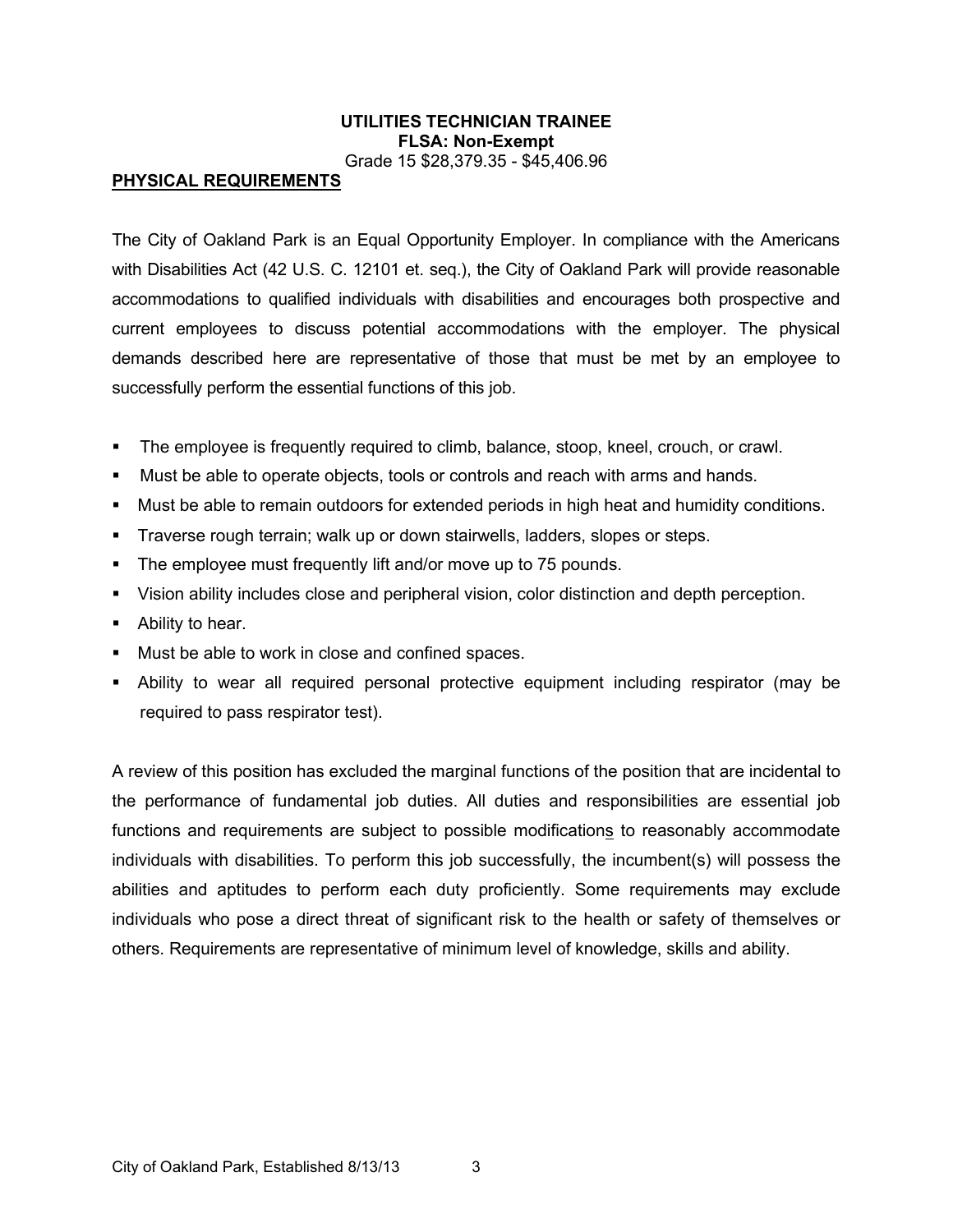#### **UTILITIES TECHNICIAN TRAINEE FLSA: Non-Exempt** Grade 15 \$28,379.35 - \$45,406.96

#### **PHYSICAL REQUIREMENTS**

The City of Oakland Park is an Equal Opportunity Employer. In compliance with the Americans with Disabilities Act (42 U.S. C. 12101 et. seq.), the City of Oakland Park will provide reasonable accommodations to qualified individuals with disabilities and encourages both prospective and current employees to discuss potential accommodations with the employer. The physical demands described here are representative of those that must be met by an employee to successfully perform the essential functions of this job.

- The employee is frequently required to climb, balance, stoop, kneel, crouch, or crawl.
- Must be able to operate objects, tools or controls and reach with arms and hands.
- Must be able to remain outdoors for extended periods in high heat and humidity conditions.
- Traverse rough terrain; walk up or down stairwells, ladders, slopes or steps.
- **The employee must frequently lift and/or move up to 75 pounds.**
- Vision ability includes close and peripheral vision, color distinction and depth perception.
- Ability to hear.
- **Must be able to work in close and confined spaces.**
- Ability to wear all required personal protective equipment including respirator (may be required to pass respirator test).

A review of this position has excluded the marginal functions of the position that are incidental to the performance of fundamental job duties. All duties and responsibilities are essential job functions and requirements are subject to possible modifications to reasonably accommodate individuals with disabilities. To perform this job successfully, the incumbent(s) will possess the abilities and aptitudes to perform each duty proficiently. Some requirements may exclude individuals who pose a direct threat of significant risk to the health or safety of themselves or others. Requirements are representative of minimum level of knowledge, skills and ability.